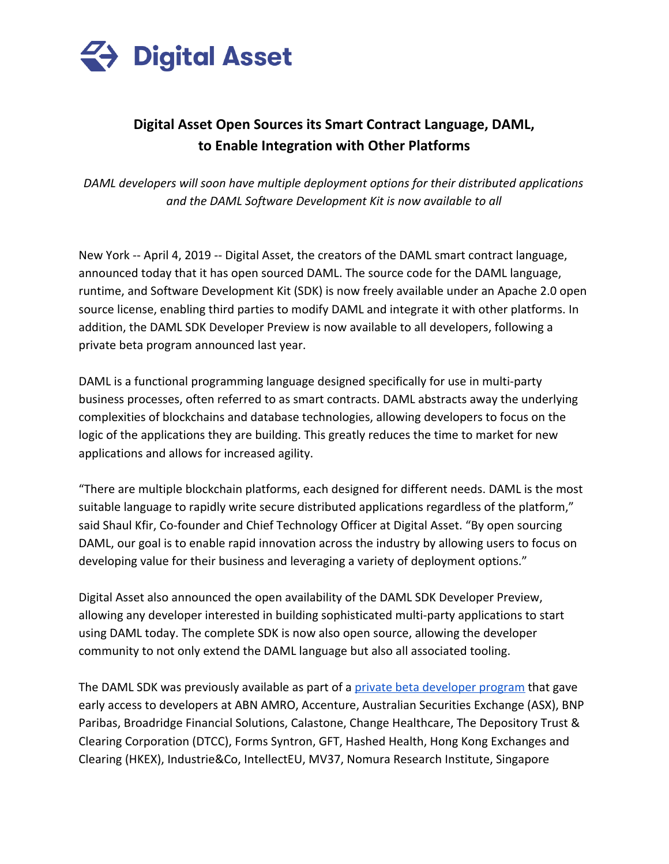

## **Digital Asset Open Sources its Smart Contract Language, DAML, to Enable Integration with Other Platforms**

*DAML developers will soon have multiple deployment options for their distributed applications and the DAML Software Development Kit is now available to all*

New York -- April 4, 2019 -- Digital Asset, the creators of the DAML smart contract language, announced today that it has open sourced DAML. The source code for the DAML language, runtime, and Software Development Kit (SDK) is now freely available under an Apache 2.0 open source license, enabling third parties to modify DAML and integrate it with other platforms. In addition, the DAML SDK Developer Preview is now available to all developers, following a private beta program announced last year.

DAML is a functional programming language designed specifically for use in multi-party business processes, often referred to as smart contracts. DAML abstracts away the underlying complexities of blockchains and database technologies, allowing developers to focus on the logic of the applications they are building. This greatly reduces the time to market for new applications and allows for increased agility.

"There are multiple blockchain platforms, each designed for different needs. DAML is the most suitable language to rapidly write secure distributed applications regardless of the platform," said Shaul Kfir, Co-founder and Chief Technology Officer at Digital Asset. "By open sourcing DAML, our goal is to enable rapid innovation across the industry by allowing users to focus on developing value for their business and leveraging a variety of deployment options."

Digital Asset also announced the open availability of the DAML SDK Developer Preview, allowing any developer interested in building sophisticated multi-party applications to start using DAML today. The complete SDK is now also open source, allowing the developer community to not only extend the DAML language but also all associated tooling.

The DAML SDK was previously available as part of a [private beta developer program](https://cdn2.hubspot.net/hubfs/2704830/Press%20Releases/PRESS%20Release%20-%20Digital%20Asset%20Developer%20Ecosystem.pdf?t=1524113023073&utm_campaign=ECO%20C2%3A%20Download%20SDK&utm_source=hs_email&utm_medium=email&_hsenc=p2ANqtz-9CAQnmN65e5bhbo9MkcPeCP6M_DVxXzv3pS_SlTw7j3fIwUhsJ_YbJIUKKVEE9FruMggM4) that gave early access to developers at ABN AMRO, Accenture, Australian Securities Exchange (ASX), BNP Paribas, Broadridge Financial Solutions, Calastone, Change Healthcare, The Depository Trust & Clearing Corporation (DTCC), Forms Syntron, GFT, Hashed Health, Hong Kong Exchanges and Clearing (HKEX), Industrie&Co, IntellectEU, MV37, Nomura Research Institute, Singapore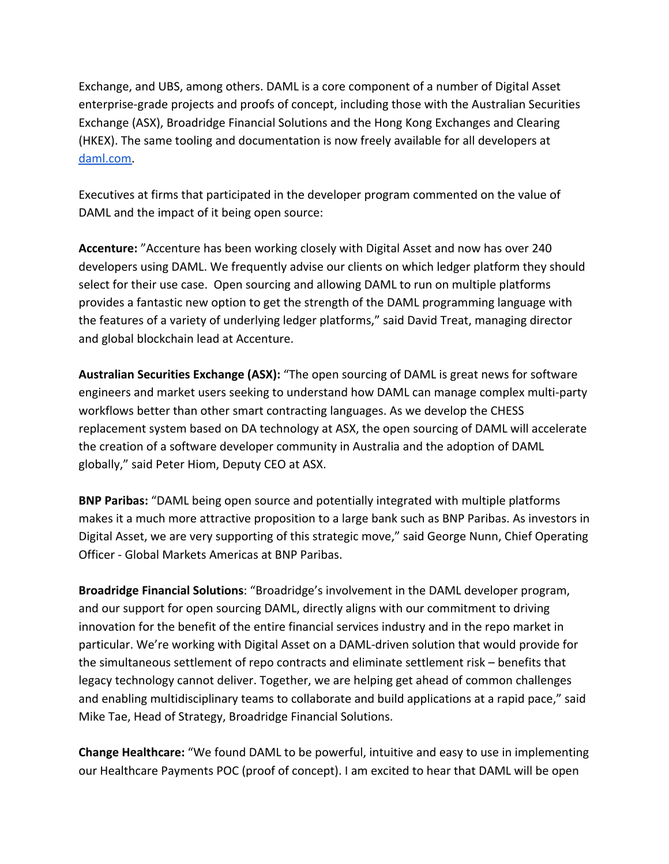Exchange, and UBS, among others. DAML is a core component of a number of Digital Asset enterprise-grade projects and proofs of concept, including those with the Australian Securities Exchange (ASX), Broadridge Financial Solutions and the Hong Kong Exchanges and Clearing (HKEX). The same tooling and documentation is now freely available for all developers at [daml.com.](https://hubs.ly/H0hdGsr0)

Executives at firms that participated in the developer program commented on the value of DAML and the impact of it being open source:

**Accenture:** "Accenture has been working closely with Digital Asset and now has over 240 developers using DAML. We frequently advise our clients on which ledger platform they should select for their use case. Open sourcing and allowing DAML to run on multiple platforms provides a fantastic new option to get the strength of the DAML programming language with the features of a variety of underlying ledger platforms," said David Treat, managing director and global blockchain lead at Accenture.

**Australian Securities Exchange (ASX):** "The open sourcing of DAML is great news for software engineers and market users seeking to understand how DAML can manage complex multi-party workflows better than other smart contracting languages. As we develop the CHESS replacement system based on DA technology at ASX, the open sourcing of DAML will accelerate the creation of a software developer community in Australia and the adoption of DAML globally," said Peter Hiom, Deputy CEO at ASX.

**BNP Paribas:** "DAML being open source and potentially integrated with multiple platforms makes it a much more attractive proposition to a large bank such as BNP Paribas. As investors in Digital Asset, we are very supporting of this strategic move," said George Nunn, Chief Operating Officer - Global Markets Americas at BNP Paribas.

**Broadridge Financial Solutions**: "Broadridge's involvement in the DAML developer program, and our support for open sourcing DAML, directly aligns with our commitment to driving innovation for the benefit of the entire financial services industry and in the repo market in particular. We're working with Digital Asset on a DAML-driven solution that would provide for the simultaneous settlement of repo contracts and eliminate settlement risk – benefits that legacy technology cannot deliver. Together, we are helping get ahead of common challenges and enabling multidisciplinary teams to collaborate and build applications at a rapid pace," said Mike Tae, Head of Strategy, Broadridge Financial Solutions.

**Change Healthcare:** "We found DAML to be powerful, intuitive and easy to use in implementing our Healthcare Payments POC (proof of concept). I am excited to hear that DAML will be open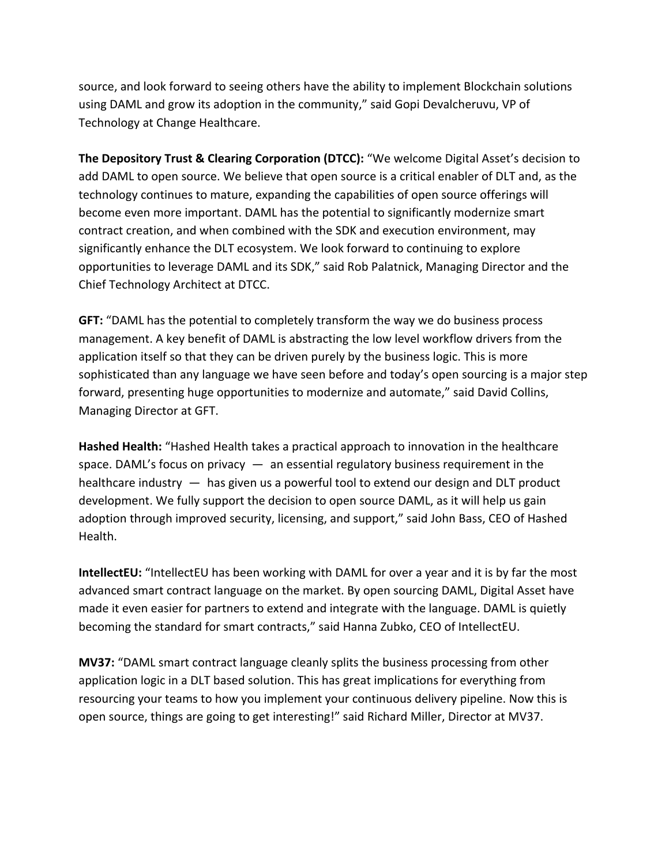source, and look forward to seeing others have the ability to implement Blockchain solutions using DAML and grow its adoption in the community," said Gopi Devalcheruvu, VP of Technology at Change Healthcare.

**The Depository Trust & Clearing Corporation (DTCC):** "We welcome Digital Asset's decision to add DAML to open source. We believe that open source is a critical enabler of DLT and, as the technology continues to mature, expanding the capabilities of open source offerings will become even more important. DAML has the potential to significantly modernize smart contract creation, and when combined with the SDK and execution environment, may significantly enhance the DLT ecosystem. We look forward to continuing to explore opportunities to leverage DAML and its SDK," said Rob Palatnick, Managing Director and the Chief Technology Architect at DTCC.

**GFT:** "DAML has the potential to completely transform the way we do business process management. A key benefit of DAML is abstracting the low level workflow drivers from the application itself so that they can be driven purely by the business logic. This is more sophisticated than any language we have seen before and today's open sourcing is a major step forward, presenting huge opportunities to modernize and automate," said David Collins, Managing Director at GFT.

**Hashed Health:** "Hashed Health takes a practical approach to innovation in the healthcare space. DAML's focus on privacy  $-$  an essential regulatory business requirement in the healthcare industry — has given us a powerful tool to extend our design and DLT product development. We fully support the decision to open source DAML, as it will help us gain adoption through improved security, licensing, and support," said John Bass, CEO of Hashed Health.

**IntellectEU:** "IntellectEU has been working with DAML for over a year and it is by far the most advanced smart contract language on the market. By open sourcing DAML, Digital Asset have made it even easier for partners to extend and integrate with the language. DAML is quietly becoming the standard for smart contracts," said Hanna Zubko, CEO of IntellectEU.

**MV37:** "DAML smart contract language cleanly splits the business processing from other application logic in a DLT based solution. This has great implications for everything from resourcing your teams to how you implement your continuous delivery pipeline. Now this is open source, things are going to get interesting!" said Richard Miller, Director at MV37.